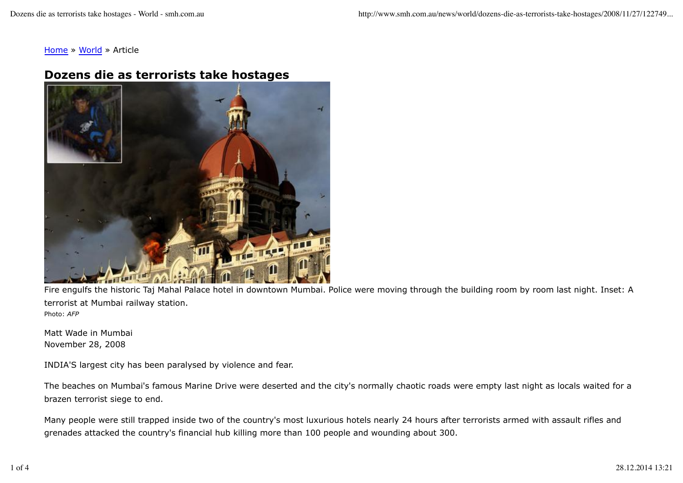Home » World » Article

## **Dozens die as terrorists take hostages**



Fire engulfs the historic Taj Mahal Palace hotel in downtown Mumbai. Police were moving through the building room by room last night. Inset: A terrorist at Mumbai railway station. Photo: *AFP*

Matt Wade in Mumbai November 28, 2008

INDIA'S largest city has been paralysed by violence and fear.

The beaches on Mumbai's famous Marine Drive were deserted and the city's normally chaotic roads were empty last night as locals waited for a brazen terrorist siege to end.

Many people were still trapped inside two of the country's most luxurious hotels nearly 24 hours after terrorists armed with assault rifles and grenades attacked the country's financial hub killing more than 100 people and wounding about 300.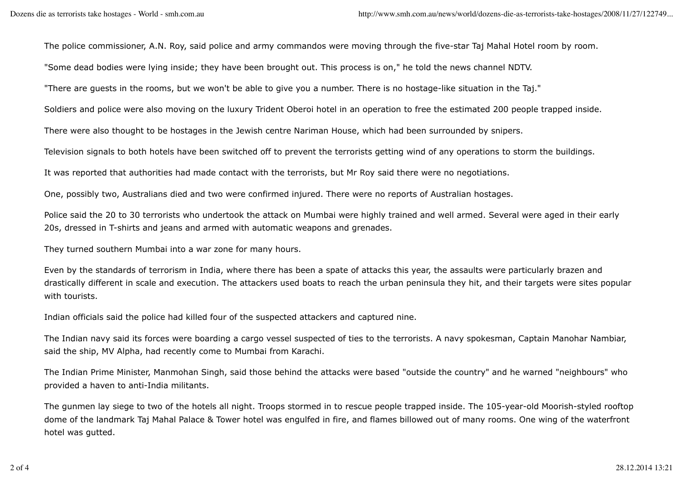The police commissioner, A.N. Roy, said police and army commandos were moving through the five-star Taj Mahal Hotel room by room.

"Some dead bodies were lying inside; they have been brought out. This process is on," he told the news channel NDTV.

"There are guests in the rooms, but we won't be able to give you a number. There is no hostage-like situation in the Taj."

Soldiers and police were also moving on the luxury Trident Oberoi hotel in an operation to free the estimated 200 people trapped inside.

There were also thought to be hostages in the Jewish centre Nariman House, which had been surrounded by snipers.

Television signals to both hotels have been switched off to prevent the terrorists getting wind of any operations to storm the buildings.

It was reported that authorities had made contact with the terrorists, but Mr Roy said there were no negotiations.

One, possibly two, Australians died and two were confirmed injured. There were no reports of Australian hostages.

Police said the 20 to 30 terrorists who undertook the attack on Mumbai were highly trained and well armed. Several were aged in their early 20s, dressed in T-shirts and jeans and armed with automatic weapons and grenades.

They turned southern Mumbai into a war zone for many hours.

Even by the standards of terrorism in India, where there has been a spate of attacks this year, the assaults were particularly brazen and drastically different in scale and execution. The attackers used boats to reach the urban peninsula they hit, and their targets were sites popular with tourists.

Indian officials said the police had killed four of the suspected attackers and captured nine.

The Indian navy said its forces were boarding a cargo vessel suspected of ties to the terrorists. A navy spokesman, Captain Manohar Nambiar, said the ship, MV Alpha, had recently come to Mumbai from Karachi.

The Indian Prime Minister, Manmohan Singh, said those behind the attacks were based "outside the country" and he warned "neighbours" who provided a haven to anti-India militants.

The gunmen lay siege to two of the hotels all night. Troops stormed in to rescue people trapped inside. The 105-year-old Moorish-styled rooftop dome of the landmark Taj Mahal Palace & Tower hotel was engulfed in fire, and flames billowed out of many rooms. One wing of the waterfront hotel was gutted.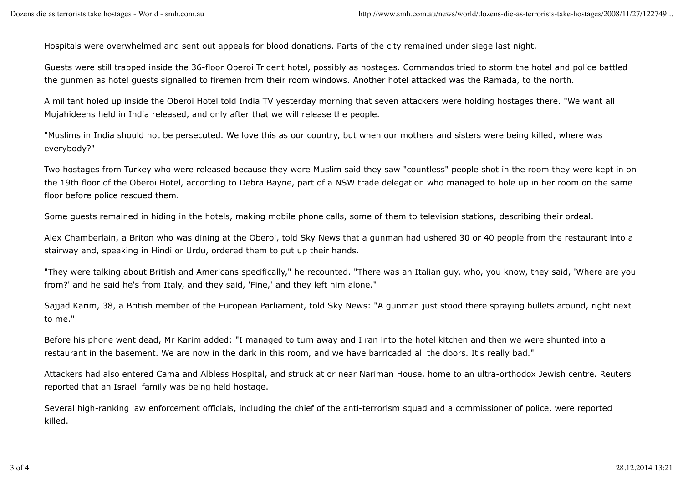Hospitals were overwhelmed and sent out appeals for blood donations. Parts of the city remained under siege last night.

Guests were still trapped inside the 36-floor Oberoi Trident hotel, possibly as hostages. Commandos tried to storm the hotel and police battled the gunmen as hotel guests signalled to firemen from their room windows. Another hotel attacked was the Ramada, to the north.

A militant holed up inside the Oberoi Hotel told India TV yesterday morning that seven attackers were holding hostages there. "We want all Mujahideens held in India released, and only after that we will release the people.

"Muslims in India should not be persecuted. We love this as our country, but when our mothers and sisters were being killed, where was everybody?"

Two hostages from Turkey who were released because they were Muslim said they saw "countless" people shot in the room they were kept in on the 19th floor of the Oberoi Hotel, according to Debra Bayne, part of a NSW trade delegation who managed to hole up in her room on the same floor before police rescued them.

Some guests remained in hiding in the hotels, making mobile phone calls, some of them to television stations, describing their ordeal.

Alex Chamberlain, a Briton who was dining at the Oberoi, told Sky News that a gunman had ushered 30 or 40 people from the restaurant into a stairway and, speaking in Hindi or Urdu, ordered them to put up their hands.

"They were talking about British and Americans specifically," he recounted. "There was an Italian guy, who, you know, they said, 'Where are you from?' and he said he's from Italy, and they said, 'Fine,' and they left him alone."

Sajjad Karim, 38, a British member of the European Parliament, told Sky News: "A gunman just stood there spraying bullets around, right next to me."

Before his phone went dead, Mr Karim added: "I managed to turn away and I ran into the hotel kitchen and then we were shunted into a restaurant in the basement. We are now in the dark in this room, and we have barricaded all the doors. It's really bad."

Attackers had also entered Cama and Albless Hospital, and struck at or near Nariman House, home to an ultra-orthodox Jewish centre. Reuters reported that an Israeli family was being held hostage.

Several high-ranking law enforcement officials, including the chief of the anti-terrorism squad and a commissioner of police, were reported killed.